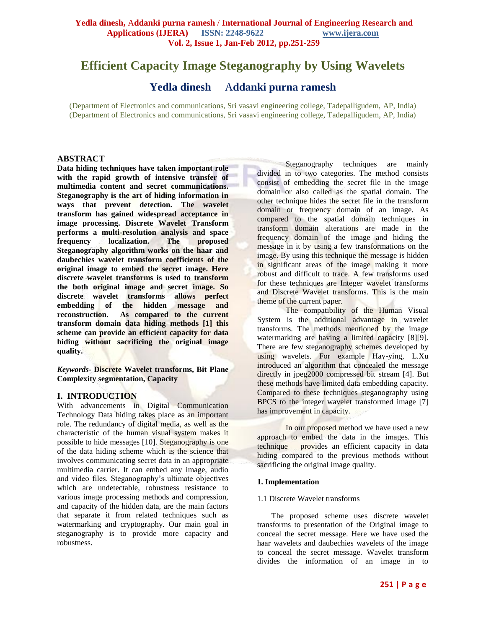# **Efficient Capacity Image Steganography by Using Wavelets**

**Yedla dinesh** A**ddanki purna ramesh**

(Department of Electronics and communications, Sri vasavi engineering college, Tadepalligudem, AP, India) (Department of Electronics and communications, Sri vasavi engineering college, Tadepalligudem, AP, India)

## **ABSTRACT**

**Data hiding techniques have taken important role with the rapid growth of intensive transfer of multimedia content and secret communications. Steganography is the art of hiding information in ways that prevent detection. The wavelet transform has gained widespread acceptance in image processing. Discrete Wavelet Transform performs a multi-resolution analysis and space frequency localization. The proposed Steganography algorithm works on the haar and daubechies wavelet transform coefficients of the original image to embed the secret image. Here discrete wavelet transforms is used to transform the both original image and secret image. So discrete wavelet transforms allows perfect embedding of the hidden message and reconstruction. As compared to the current transform domain data hiding methods [1] this scheme can provide an efficient capacity for data hiding without sacrificing the original image quality.**

*Keywords-* **Discrete Wavelet transforms, Bit Plane Complexity segmentation, Capacity**

## **I. INTRODUCTION**

With advancements in Digital Communication Technology Data hiding takes place as an important role. The redundancy of digital media, as well as the characteristic of the human visual system makes it possible to hide messages [10]. Steganography is one of the data hiding scheme which is the science that involves communicating secret data in an appropriate multimedia carrier. It can embed any image, audio and video files. Steganography"s ultimate objectives which are undetectable, robustness resistance to various image processing methods and compression, and capacity of the hidden data, are the main factors that separate it from related techniques such as watermarking and cryptography. Our main goal in steganography is to provide more capacity and robustness.

Steganography techniques are mainly divided in to two categories. The method consists consist of embedding the secret file in the image domain or also called as the spatial domain. The other technique hides the secret file in the transform domain or frequency domain of an image. As compared to the spatial domain techniques in transform domain alterations are made in the frequency domain of the image and hiding the message in it by using a few transformations on the image. By using this technique the message is hidden in significant areas of the image making it more robust and difficult to trace. A few transforms used for these techniques are Integer wavelet transforms and Discrete Wavelet transforms. This is the main theme of the current paper.

The compatibility of the Human Visual System is the additional advantage in wavelet transforms. The methods mentioned by the image watermarking are having a limited capacity [8][9]. There are few steganography schemes developed by using wavelets. For example Hay-ying, L.Xu introduced an algorithm that concealed the message directly in jpeg2000 compressed bit stream [4]. But these methods have limited data embedding capacity. Compared to these techniques steganography using BPCS to the integer wavelet transformed image [7] has improvement in capacity.

In our proposed method we have used a new approach to embed the data in the images. This technique provides an efficient capacity in data hiding compared to the previous methods without sacrificing the original image quality.

#### **1. Implementation**

## 1.1 Discrete Wavelet transforms

The proposed scheme uses discrete wavelet transforms to presentation of the Original image to conceal the secret message. Here we have used the haar wavelets and daubechies wavelets of the image to conceal the secret message. Wavelet transform divides the information of an image in to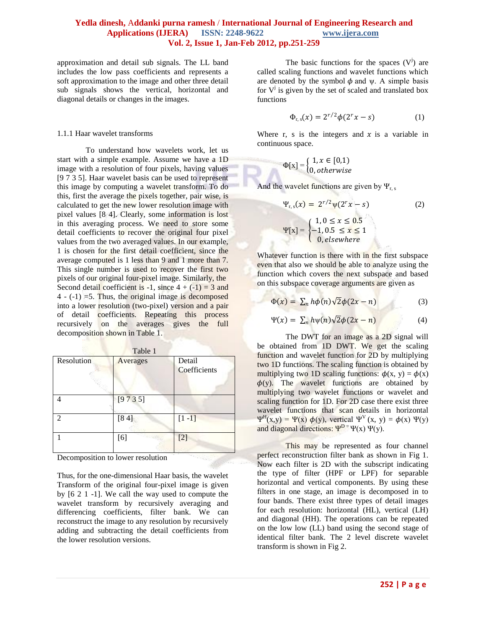approximation and detail sub signals. The LL band includes the low pass coefficients and represents a soft approximation to the image and other three detail sub signals shows the vertical, horizontal and diagonal details or changes in the images.

#### 1.1.1 Haar wavelet transforms

To understand how wavelets work, let us start with a simple example. Assume we have a 1D image with a resolution of four pixels, having values [9 7 3 5]. Haar wavelet basis can be used to represent this image by computing a wavelet transform. To do this, first the average the pixels together, pair wise, is calculated to get the new lower resolution image with pixel values [8 4]. Clearly, some information is lost in this averaging process. We need to store some detail coefficients to recover the original four pixel values from the two averaged values. In our example, 1 is chosen for the first detail coefficient, since the average computed is 1 less than 9 and 1 more than 7. This single number is used to recover the first two pixels of our original four-pixel image. Similarly, the Second detail coefficient is -1, since  $4 + (-1) = 3$  and  $4 - (-1) = 5$ . Thus, the original image is decomposed into a lower resolution (two-pixel) version and a pair of detail coefficients. Repeating this process recursively on the averages gives the full decomposition shown in Table 1.

| Resolution     | Table 1<br>Averages | Detail<br>Coefficients |
|----------------|---------------------|------------------------|
|                | [9735]              |                        |
| $\mathfrak{D}$ | [84]                | $[1 -1]$               |
|                | [6]                 | $[2]$                  |

Decomposition to lower resolution

Thus, for the one-dimensional Haar basis, the wavelet Transform of the original four-pixel image is given by [6 2 1 -1]. We call the way used to compute the wavelet transform by recursively averaging and differencing coefficients, filter bank. We can reconstruct the image to any resolution by recursively adding and subtracting the detail coefficients from the lower resolution versions.

The basic functions for the spaces  $(V<sup>j</sup>)$  are called scaling functions and wavelet functions which are denoted by the symbol  $\phi$  and  $\psi$ . A simple basis for  $V^j$  is given by the set of scaled and translated box functions

$$
\Phi_{r,s}(x) = 2^{r/2} \phi(2^r x - s) \tag{1}
$$

Where r, s is the integers and  $x$  is a variable in continuous space.

$$
\Phi[\mathbf{x}] = \begin{cases} 1, x \in [0,1) \\ 0, otherwise \end{cases}
$$

And the wavelet functions are given by  $\Psi_r$ .

$$
\Psi_{r,s}(x) = 2^{r/2} \Psi(2^r x - s)
$$
(2)  

$$
\Psi[x] = \begin{cases} 1, 0 \le x \le 0.5\\ -1, 0.5 \le x \le 1\\ 0, elsewhere \end{cases}
$$

Whatever function is there with in the first subspace even that also we should be able to analyze using the function which covers the next subspace and based on this subspace coverage arguments are given as

$$
\Phi(x) = \sum_{n} h\phi(n)\sqrt{2}\phi(2x - n) \tag{3}
$$

$$
\Psi(x) = \sum_{n} h \psi(n) \sqrt{2} \phi(2x - n) \tag{4}
$$

The DWT for an image as a 2D signal will be obtained from 1D DWT. We get the scaling function and wavelet function for 2D by multiplying two 1D functions. The scaling function is obtained by multiplying two 1D scaling functions:  $\phi(x, y) = \phi(x)$  $\phi(y)$ . The wavelet functions are obtained by multiplying two wavelet functions or wavelet and scaling function for 1D. For 2D case there exist three wavelet functions that scan details in horizontal  $\Psi^H(x,y) = \Psi(x) \phi(y)$ , vertical  $\Psi^V(x, y) = \phi(x) \Psi(y)$ and diagonal directions:  $\Psi^{D} = \Psi(x) \Psi(y)$ .

This may be represented as four channel perfect reconstruction filter bank as shown in Fig 1. Now each filter is 2D with the subscript indicating the type of filter (HPF or LPF) for separable horizontal and vertical components. By using these filters in one stage, an image is decomposed in to four bands. There exist three types of detail images for each resolution: horizontal (HL), vertical (LH) and diagonal (HH). The operations can be repeated on the low low (LL) band using the second stage of identical filter bank. The 2 level discrete wavelet transform is shown in Fig 2.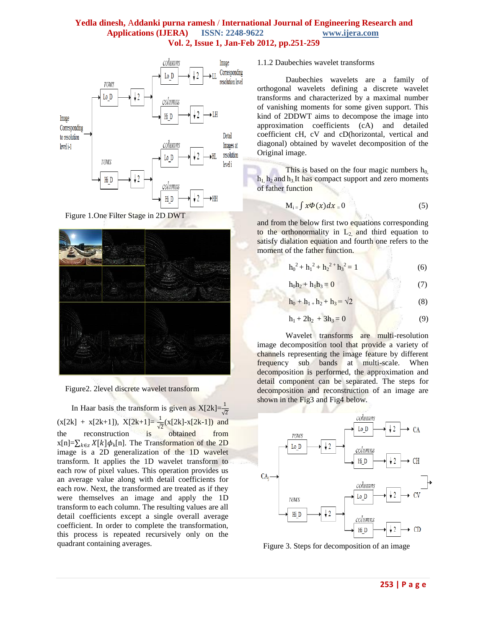

Figure 1.One Filter Stage in 2D DWT





In Haar basis the transform is given as  $X[2k]=\frac{1}{6}$  $\sqrt{2}$  $(x[2k] + x[2k+1])$ ,  $X[2k+1] = \frac{1}{6}$  $\frac{1}{\sqrt{2}}$ (x[2k]-x[2k-1]) and the reconstruction is obtained from  $x[n]=\sum_{k\in\mathbb{Z}}X[k]\phi_k[n]$ . The Transformation of the 2D image is a 2D generalization of the 1D wavelet transform. It applies the 1D wavelet transform to each row of pixel values. This operation provides us an average value along with detail coefficients for each row. Next, the transformed are treated as if they were themselves an image and apply the 1D transform to each column. The resulting values are all detail coefficients except a single overall average coefficient. In order to complete the transformation, this process is repeated recursively only on the quadrant containing averages.

1.1.2 Daubechies wavelet transforms

Daubechies wavelets are a family of orthogonal wavelets defining a discrete wavelet transforms and characterized by a maximal number of vanishing moments for some given support. This kind of 2DDWT aims to decompose the image into approximation coefficients (cA) and detailed coefficient cH, cV and cD(horizontal, vertical and diagonal) obtained by wavelet decomposition of the Original image.

This is based on the four magic numbers  $h_0$ ,  $h_1$ ,  $h_2$  and  $h_3$  It has compact support and zero moments of father function

$$
M_{i} = \int x \Phi(x) dx = 0 \tag{5}
$$

and from the below first two equations corresponding to the orthonormality in  $L_2$  and third equation to satisfy dialation equation and fourth one refers to the moment of the father function.

$$
h_0^2 + h_1^2 + h_2^2 + h_3^2 = 1
$$
 (6)

$$
h_0 h_2 + h_1 h_3 = 0 \tag{7}
$$

$$
h_0 + h_1 + h_2 + h_3 = \sqrt{2}
$$
 (8)

$$
h_1 + 2h_2 + 3h_3 = 0 \tag{9}
$$

Wavelet transforms are multi-resolution image decomposition tool that provide a variety of channels representing the image feature by different frequency sub bands at multi-scale. When decomposition is performed, the approximation and detail component can be separated. The steps for decomposition and reconstruction of an image are shown in the Fig3 and Fig4 below.



Figure 3. Steps for decomposition of an image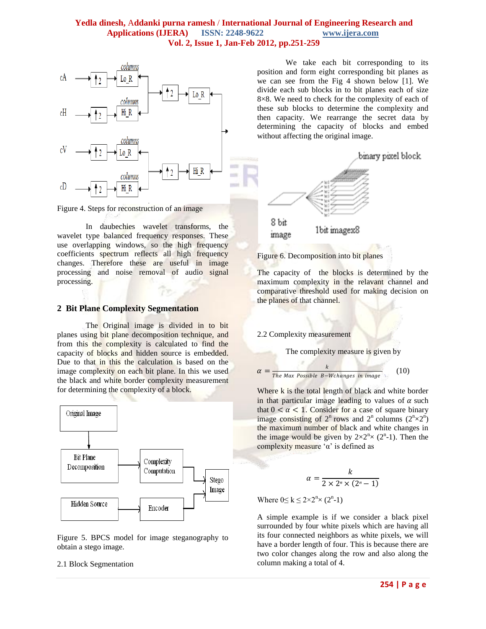

Figure 4. Steps for reconstruction of an image

In daubechies wavelet transforms, the wavelet type balanced frequency responses. These use overlapping windows, so the high frequency coefficients spectrum reflects all high frequency changes. Therefore these are useful in image processing and noise removal of audio signal processing.

#### **2 Bit Plane Complexity Segmentation**

The Original image is divided in to bit planes using bit plane decomposition technique, and from this the complexity is calculated to find the capacity of blocks and hidden source is embedded. Due to that in this the calculation is based on the image complexity on each bit plane. In this we used the black and white border complexity measurement for determining the complexity of a block.



Figure 5. BPCS model for image steganography to obtain a stego image.

#### 2.1 Block Segmentation

We take each bit corresponding to its position and form eight corresponding bit planes as we can see from the Fig 4 shown below [1]. We divide each sub blocks in to bit planes each of size 8×8. We need to check for the complexity of each of these sub blocks to determine the complexity and then capacity. We rearrange the secret data by determining the capacity of blocks and embed without affecting the original image.



Figure 6. Decomposition into bit planes

The capacity of the blocks is determined by the maximum complexity in the relavant channel and comparative threshold used for making decision on the planes of that channel.

#### 2.2 Complexity measurement

The complexity measure is given by

$$
\alpha = \frac{k}{\text{The Max Possible B-W changes in image}} \tag{10}
$$

Where k is the total length of black and white border in that particular image leading to values of  $\alpha$  such that  $0 < \alpha < 1$ . Consider for a case of square binary image consisting of  $2^n$  rows and  $2^n$  columns  $(2^n \times 2^n)$ the maximum number of black and white changes in the image would be given by  $2 \times 2^{n} \times (2^{n}-1)$ . Then the complexity measure ' $α$ ' is defined as

$$
\alpha = \frac{k}{2 \times 2^n \times (2^n - 1)}
$$

Where  $0 \le k \le 2 \times 2^{n} \times (2^{n} - 1)$ 

A simple example is if we consider a black pixel surrounded by four white pixels which are having all its four connected neighbors as white pixels, we will have a border length of four. This is because there are two color changes along the row and also along the column making a total of 4.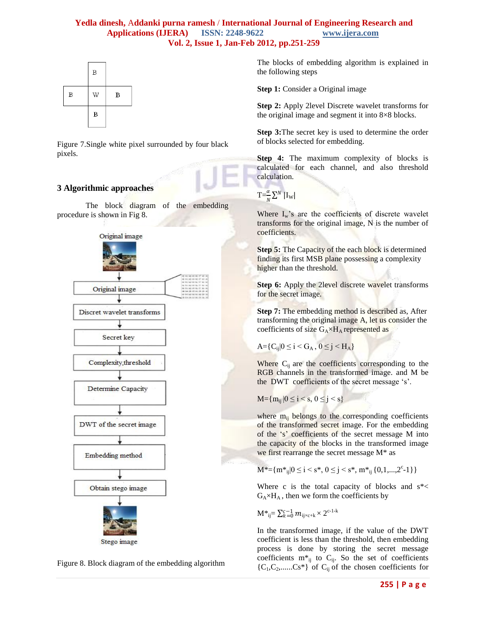

Figure 7.Single white pixel surrounded by four black pixels.

# **3 Algorithmic approaches**

The block diagram of the embedding procedure is shown in Fig 8.



Figure 8. Block diagram of the embedding algorithm

The blocks of embedding algorithm is explained in the following steps

**Step 1:** Consider a Original image

**Step 2:** Apply 2level Discrete wavelet transforms for the original image and segment it into 8×8 blocks.

**Step 3:**The secret key is used to determine the order of blocks selected for embedding.

**Step 4:** The maximum complexity of blocks is calculated for each channel, and also threshold calculation.

 $T = \frac{\alpha}{N} \sum^{N} |I_{W}|$ 

Where  $I_w$ 's are the coefficients of discrete wavelet transforms for the original image, N is the number of coefficients.

**Step 5:** The Capacity of the each block is determined finding its first MSB plane possessing a complexity higher than the threshold.

**Step 6:** Apply the 2level discrete wavelet transforms for the secret image.

**Step 7:** The embedding method is described as, After transforming the original image A, let us consider the coefficients of size  $G_A \times H_A$  represented as

$$
A = \{C_{ij} | 0 \le i < G_A, \ 0 \le j < H_A\}
$$

Where  $C_{ii}$  are the coefficients corresponding to the RGB channels in the transformed image. and M be the DWT coefficients of the secret message 's'.

$$
M = \{m_{ij} | 0 \le i < s, \, 0 \le j < s\}
$$

where  $m_{ii}$  belongs to the corresponding coefficients of the transformed secret image. For the embedding of the "s" coefficients of the secret message M into the capacity of the blocks in the transformed image we first rearrange the secret message M\* as

$$
M^* = \{m^*_{ij} | 0 \le i < s^*, \ 0 \le j < s^*, \ m^*_{ij} \{0, 1, \ldots, 2^c - 1\} \}
$$

Where c is the total capacity of blocks and  $s^*$  $G_A \times H_A$ , then we form the coefficients by

$$
\mathbf{M}^*_{ij} = \sum_{k=0}^{c-1} m_{ij \times c+k} \times 2^{c-1-k}
$$

In the transformed image, if the value of the DWT coefficient is less than the threshold, then embedding process is done by storing the secret message coefficients  $m^*_{ij}$  to  $C_{ij}$ . So the set of coefficients  ${C_1, C_2, \ldots, C_s^*}$  of  $C_{ij}$  of the chosen coefficients for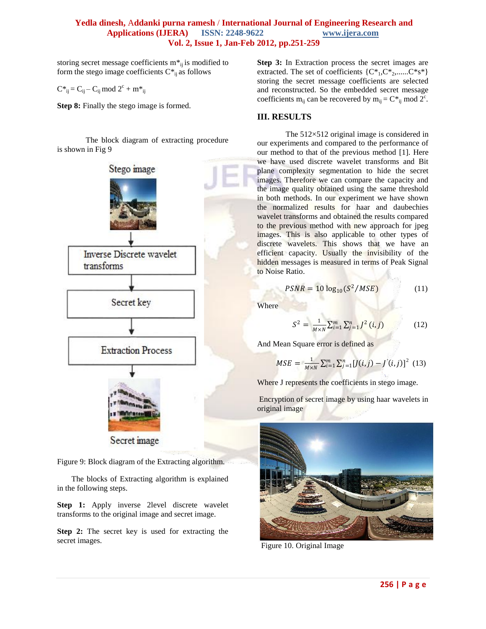storing secret message coefficients  $m^*_{ij}$  is modified to form the stego image coefficients  $C^*_{ij}$  as follows

$$
C^*{}_{ij} = C_{ij} - C_{ij} \bmod 2^c + m^*{}_{ij}
$$

**Step 8:** Finally the stego image is formed.

The block diagram of extracting procedure is shown in Fig 9



Figure 9: Block diagram of the Extracting algorithm.

The blocks of Extracting algorithm is explained in the following steps.

**Step 1:** Apply inverse 2level discrete wavelet transforms to the original image and secret image.

**Step 2:** The secret key is used for extracting the secret images.

**Step 3:** In Extraction process the secret images are extracted. The set of coefficients  $\{C^*, C^*, C^*, ... C^*s^*\}$ storing the secret message coefficients are selected and reconstructed. So the embedded secret message coefficients m<sub>ij</sub> can be recovered by m<sub>ij</sub> =  $C^*_{ij}$  mod  $2^c$ .

## **III. RESULTS**

The 512×512 original image is considered in our experiments and compared to the performance of our method to that of the previous method [1]. Here we have used discrete wavelet transforms and Bit plane complexity segmentation to hide the secret images. Therefore we can compare the capacity and the image quality obtained using the same threshold in both methods. In our experiment we have shown the normalized results for haar and daubechies wavelet transforms and obtained the results compared to the previous method with new approach for jpeg images. This is also applicable to other types of discrete wavelets. This shows that we have an efficient capacity. Usually the invisibility of the hidden messages is measured in terms of Peak Signal to Noise Ratio.

$$
PSNR = 10 \log_{10} (S^2 / MSE) \tag{11}
$$

Where

$$
S^{2} = \frac{1}{M \times N} \sum_{i=1}^{m} \sum_{j=1}^{n} J^{2} (i, j)
$$
 (12)

And Mean Square error is defined as

$$
MSE = \frac{1}{M \times N} \sum_{i=1}^{m} \sum_{j=1}^{n} [J(i,j) - J'(i,j)]^2
$$
 (13)

Where J represents the coefficients in stego image.

Encryption of secret image by using haar wavelets in original image



Figure 10. Original Image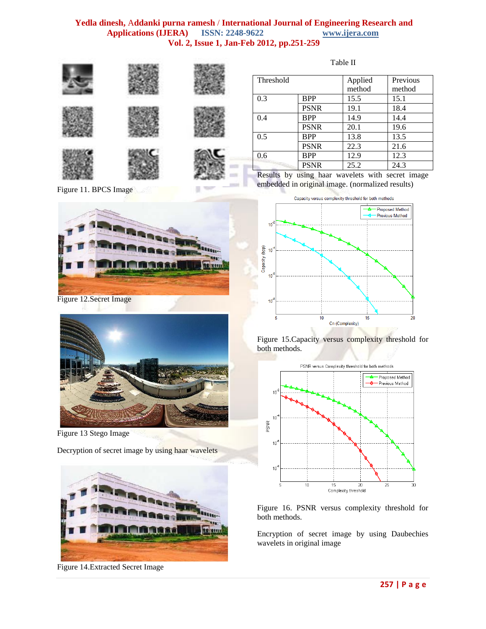

Figure 11. BPCS Image



Figure 12.Secret Image



Figure 13 Stego Image

Decryption of secret image by using haar wavelets



Figure 14.Extracted Secret Image

| Threshold |             | Applied | Previous |
|-----------|-------------|---------|----------|
|           |             | method  | method   |
| 0.3       | <b>BPP</b>  | 15.5    | 15.1     |
|           | <b>PSNR</b> | 19.1    | 18.4     |
| 0.4       | <b>BPP</b>  | 14.9    | 14.4     |
|           | <b>PSNR</b> | 20.1    | 19.6     |
| 0.5       | <b>BPP</b>  | 13.8    | 13.5     |
|           | <b>PSNR</b> | 22.3    | 21.6     |
| 0.6       | <b>BPP</b>  | 12.9    | 12.3     |
|           | <b>PSNR</b> | 25.2    | 24.3     |

Results by using haar wavelets with secret image embedded in original image. (normalized results)



Figure 15.Capacity versus complexity threshold for both methods.



Figure 16. PSNR versus complexity threshold for both methods.

Encryption of secret image by using Daubechies wavelets in original image

Table II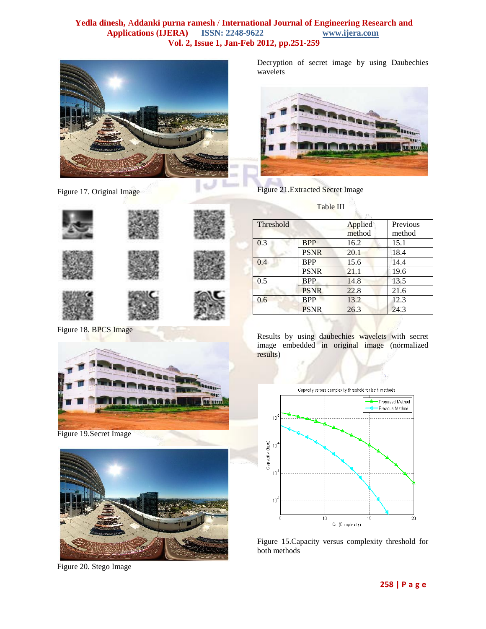

Figure 17. Original Image

Decryption of secret image by using Daubechies wavelets



Figure 21.Extracted Secret Image

Table III

|  | Thre |
|--|------|
|  | 0.3  |
|  | 0.4  |
|  | 0.5  |
|  | 0.6  |
|  |      |

Figure 18. BPCS Image



Figure 19.Secret Image



Figure 20. Stego Image

| Threshold |             | Applied | Previous |
|-----------|-------------|---------|----------|
|           |             | method  | method   |
| 0.3       | <b>BPP</b>  | 16.2    | 15.1     |
|           | <b>PSNR</b> | 20.1    | 18.4     |
| 0.4       | <b>BPP</b>  | 15.6    | 14.4     |
|           | <b>PSNR</b> | 21.1    | 19.6     |
| 0.5       | <b>BPP</b>  | 14.8    | 13.5     |
|           | <b>PSNR</b> | 22.8    | 21.6     |
| 0.6       | <b>BPP</b>  | 13.2    | 12.3     |
|           | <b>PSNR</b> | 26.3    | 24.3     |

Results by using daubechies wavelets with secret image embedded in original image (normalized results)



Figure 15.Capacity versus complexity threshold for both methods